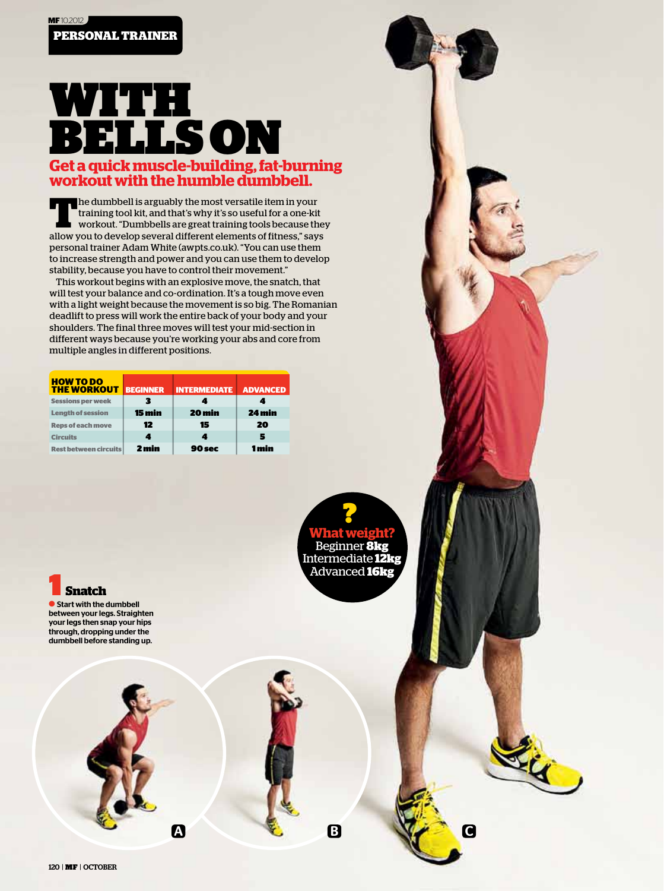## With **BELLSON Get a quick muscle-building, fat-burning workout with the humble dumbbell.**

**T**he dumbbell is arguably the most versatile item in your training tool kit, and that's why it's so useful for a one-kit workout. "Dumbbells are great training tools because they allow you to develop several different elements of fitness," says personal trainer Adam White (awpts.co.uk). "You can use them to increase strength and power and you can use them to develop stability, because you have to control their movement."

This workout begins with an explosive move, the snatch, that will test your balance and co-ordination. It's a tough move even with a light weight because the movement is so big. The Romanian deadlift to press will work the entire back of your body and your shoulders. The final three moves will test your mid-section in different ways because you're working your abs and core from multiple angles in different positions.

| <b>HOW TO DO</b><br><b>THE WORKOUT</b> | <b>BEGINNER</b> | <b>INTERMEDIATE</b> | <b>ADVANCED</b> |
|----------------------------------------|-----------------|---------------------|-----------------|
| <b>Sessions per week</b>               |                 |                     |                 |
| <b>Length of session</b>               | 15 min          | 20 min              | 24 min          |
| <b>Reps of each move</b>               | 12              | 15                  | 20              |
| <b>Circuits</b>                        | 4               |                     | 5               |
| <b>Rest between circuits</b>           | 2 min           | 90 sec              | 1 min           |

**What weight?** Beginner **8kg** Intermediate **12kg** Advanced **16kg** ?

A C B V B

Li

1 **Snatch**

**C** Start with the dumbbell between your legs. Straighten your legs then snap your hips through, dropping under the dumbbell before standing up.